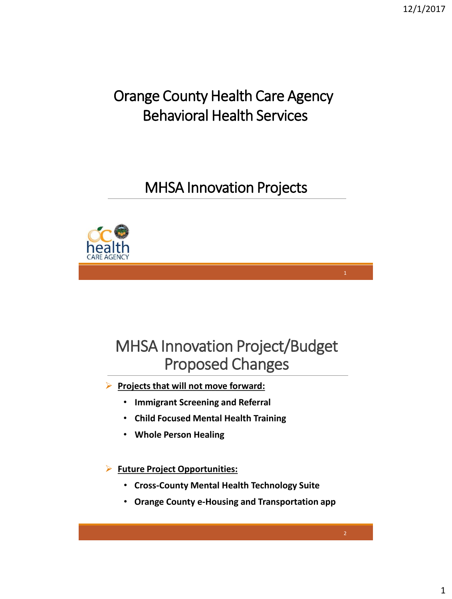### Orange County Health Care Agency Behavioral Health Services

### MHSA Innovation Projects



## MHSA Innovation Project/Budget Proposed Changes

**Projects that will not move forward:** 

- **Immigrant Screening and Referral**
- **Child Focused Mental Health Training**
- **Whole Person Healing**

**Future Project Opportunities:**

- **Cross-County Mental Health Technology Suite**
- **Orange County e-Housing and Transportation app**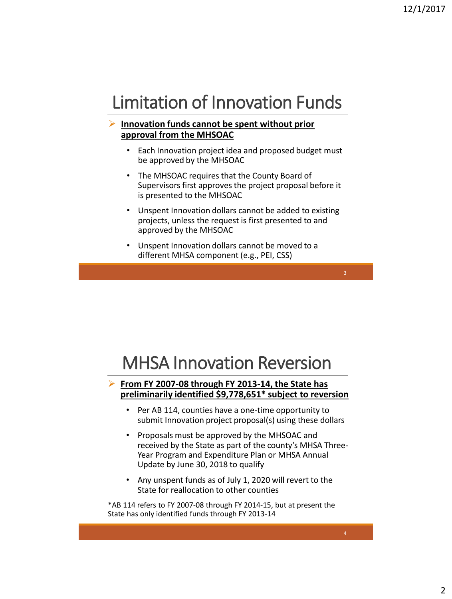## Limitation of Innovation Funds

#### **Innovation funds cannot be spent without prior approval from the MHSOAC**

- Each Innovation project idea and proposed budget must be approved by the MHSOAC
- The MHSOAC requires that the County Board of Supervisors first approves the project proposal before it is presented to the MHSOAC
- Unspent Innovation dollars cannot be added to existing projects, unless the request is first presented to and approved by the MHSOAC
- Unspent Innovation dollars cannot be moved to a different MHSA component (e.g., PEI, CSS)

## MHSA Innovation Reversion

#### **From FY 2007-08 through FY 2013-14, the State has preliminarily identified \$9,778,651\* subject to reversion**

- Per AB 114, counties have a one-time opportunity to submit Innovation project proposal(s) using these dollars
- Proposals must be approved by the MHSOAC and received by the State as part of the county's MHSA Three-Year Program and Expenditure Plan or MHSA Annual Update by June 30, 2018 to qualify
- Any unspent funds as of July 1, 2020 will revert to the State for reallocation to other counties

\*AB 114 refers to FY 2007-08 through FY 2014-15, but at present the State has only identified funds through FY 2013-14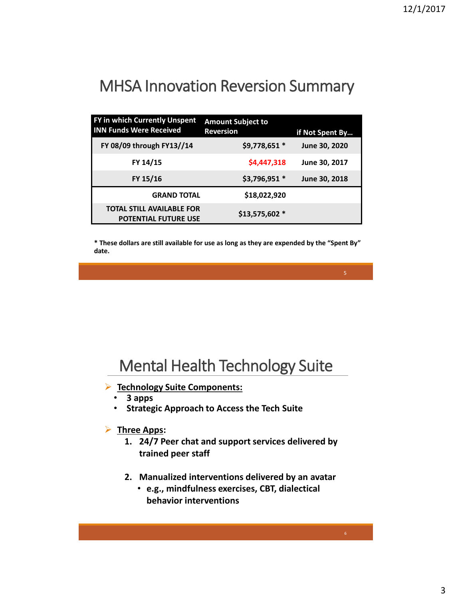## MHSA Innovation Reversion Summary

| FY in which Currently Unspent<br><b>INN Funds Were Received</b> | <b>Amount Subject to</b><br><b>Reversion</b> | if Not Spent By |
|-----------------------------------------------------------------|----------------------------------------------|-----------------|
| FY 08/09 through FY13//14                                       | \$9,778,651 *                                | June 30, 2020   |
| FY 14/15                                                        | \$4,447,318                                  | June 30, 2017   |
| FY 15/16                                                        | \$3,796,951 *                                | June 30, 2018   |
| <b>GRAND TOTAL</b>                                              | \$18,022,920                                 |                 |
| <b>TOTAL STILL AVAILABLE FOR</b><br><b>POTENTIAL FUTURE USE</b> | \$13,575,602 *                               |                 |

**\* These dollars are still available for use as long as they are expended by the "Spent By" date.**

### Mental Health Technology Suite

- **Technology Suite Components:**
	- **3 apps**
	- **Strategic Approach to Access the Tech Suite**

#### **Three Apps:**

- **1. 24/7 Peer chat and support services delivered by trained peer staff**
- **2. Manualized interventions delivered by an avatar**
	- **e.g., mindfulness exercises, CBT, dialectical behavior interventions**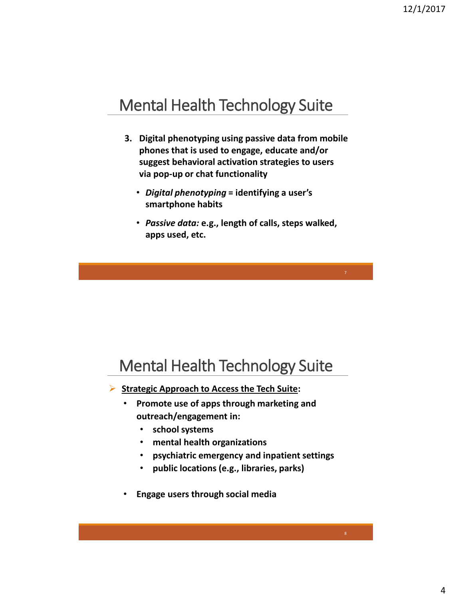### Mental Health Technology Suite

- **3. Digital phenotyping using passive data from mobile phones that is used to engage, educate and/or suggest behavioral activation strategies to users via pop-up or chat functionality**
	- *Digital phenotyping* **= identifying a user's smartphone habits**
	- *Passive data:* **e.g., length of calls, steps walked, apps used, etc.**

7

### Mental Health Technology Suite

- **Strategic Approach to Access the Tech Suite:**
	- **Promote use of apps through marketing and outreach/engagement in:**
		- **school systems**
		- **mental health organizations**
		- **psychiatric emergency and inpatient settings**
		- **public locations (e.g., libraries, parks)**
	- **Engage users through social media**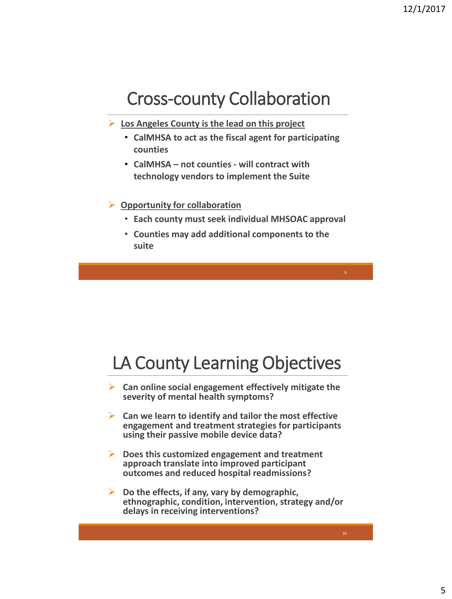## Cross-county Collaboration

- **Los Angeles County is the lead on this project**
	- **CalMHSA to act as the fiscal agent for participating counties**
	- **CalMHSA – not counties - will contract with technology vendors to implement the Suite**
- **Opportunity for collaboration** 
	- **Each county must seek individual MHSOAC approval**

9

• **Counties may add additional components to the suite** 

## LA County Learning Objectives

- **Can online social engagement effectively mitigate the severity of mental health symptoms?**
- **Can we learn to identify and tailor the most effective engagement and treatment strategies for participants using their passive mobile device data?**
- **Does this customized engagement and treatment approach translate into improved participant outcomes and reduced hospital readmissions?**
- **Do the effects, if any, vary by demographic, ethnographic, condition, intervention, strategy and/or delays in receiving interventions?**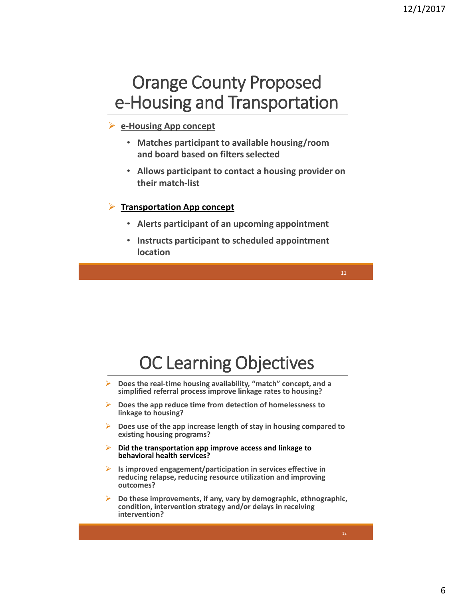## Orange County Proposed e-Housing and Transportation

#### **e-Housing App concept**

- **Matches participant to available housing/room and board based on filters selected**
- **Allows participant to contact a housing provider on their match-list**

#### **Transportation App concept**

- **Alerts participant of an upcoming appointment**
- **Instructs participant to scheduled appointment location**

# OC Learning Objectives

- **Does the real-time housing availability, "match" concept, and a simplified referral process improve linkage rates to housing?**
- **Does the app reduce time from detection of homelessness to linkage to housing?**
- **Does use of the app increase length of stay in housing compared to existing housing programs?**
- **Did the transportation app improve access and linkage to behavioral health services?**
- **Is improved engagement/participation in services effective in reducing relapse, reducing resource utilization and improving outcomes?**
- **Do these improvements, if any, vary by demographic, ethnographic, condition, intervention strategy and/or delays in receiving intervention?**

11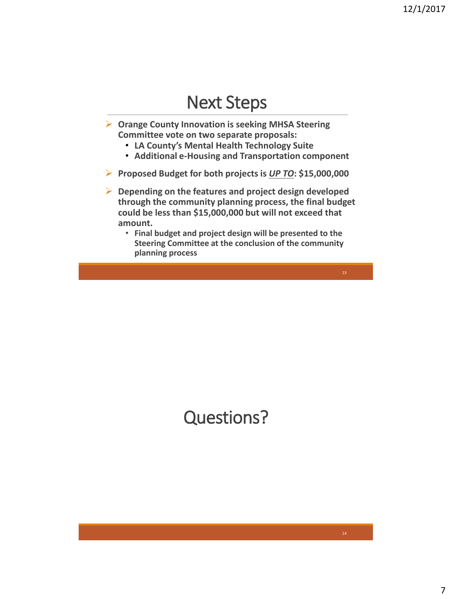### Next Steps

- **Orange County Innovation is seeking MHSA Steering Committee vote on two separate proposals:**
	- **LA County's Mental Health Technology Suite**
	- **Additional e-Housing and Transportation component**
- **Proposed Budget for both projects is** *UP TO***: \$15,000,000**
- **Depending on the features and project design developed through the community planning process, the final budget could be less than \$15,000,000 but will not exceed that amount.** 
	- **Final budget and project design will be presented to the Steering Committee at the conclusion of the community planning process**

# Questions?